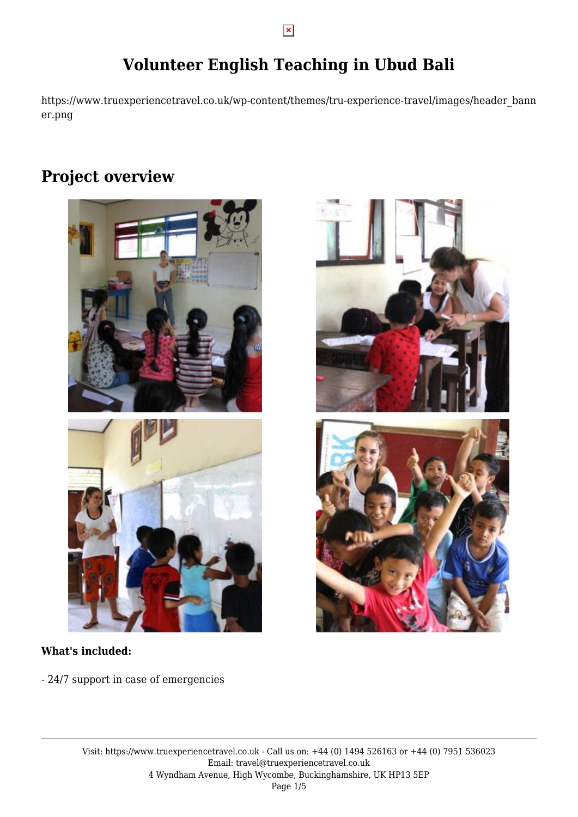# **Volunteer English Teaching in Ubud Bali**

https://www.truexperiencetravel.co.uk/wp-content/themes/tru-experience-travel/images/header\_bann er.png

## **Project overview**





#### **What's included:**

- 24/7 support in case of emergencies



 $\pmb{\times}$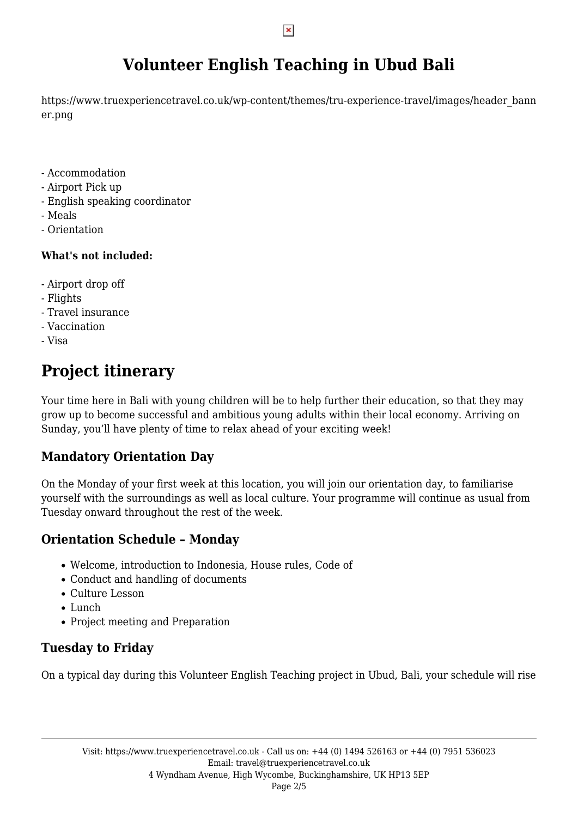# **Volunteer English Teaching in Ubud Bali**

https://www.truexperiencetravel.co.uk/wp-content/themes/tru-experience-travel/images/header\_bann er.png

- Accommodation
- Airport Pick up
- English speaking coordinator
- Meals
- Orientation

#### **What's not included:**

- Airport drop off
- Flights
- Travel insurance
- Vaccination
- Visa

# **Project itinerary**

Your time here in Bali with young children will be to help further their education, so that they may grow up to become successful and ambitious young adults within their local economy. Arriving on Sunday, you'll have plenty of time to relax ahead of your exciting week!

## **Mandatory Orientation Day**

On the Monday of your first week at this location, you will join our orientation day, to familiarise yourself with the surroundings as well as local culture. Your programme will continue as usual from Tuesday onward throughout the rest of the week.

## **Orientation Schedule – Monday**

- Welcome, introduction to Indonesia, House rules, Code of
- Conduct and handling of documents
- Culture Lesson
- Lunch
- Project meeting and Preparation

## **Tuesday to Friday**

On a typical day during this Volunteer English Teaching project in Ubud, Bali, your schedule will rise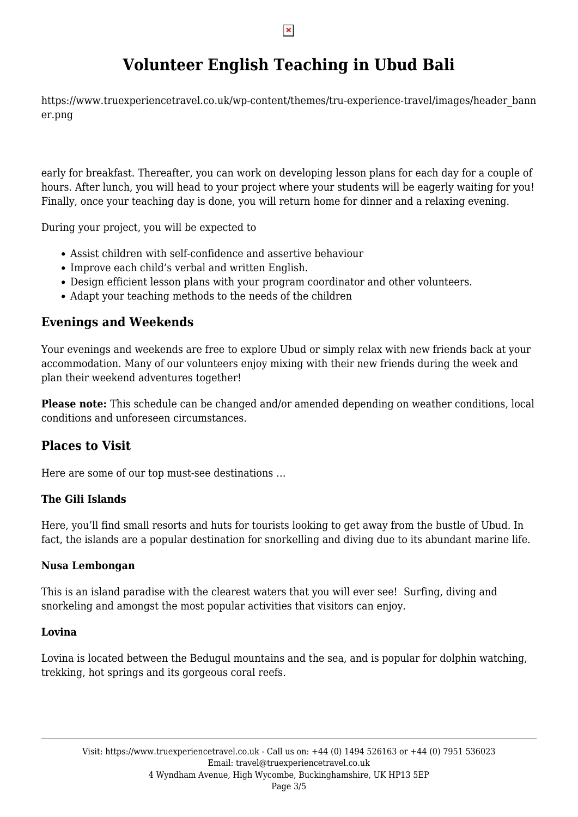# **Volunteer English Teaching in Ubud Bali**

https://www.truexperiencetravel.co.uk/wp-content/themes/tru-experience-travel/images/header\_bann er.png

early for breakfast. Thereafter, you can work on developing lesson plans for each day for a couple of hours. After lunch, you will head to your project where your students will be eagerly waiting for you! Finally, once your teaching day is done, you will return home for dinner and a relaxing evening.

During your project, you will be expected to

- Assist children with self-confidence and assertive behaviour
- Improve each child's verbal and written English.
- Design efficient lesson plans with your program coordinator and other volunteers.
- Adapt your teaching methods to the needs of the children

#### **Evenings and Weekends**

Your evenings and weekends are free to explore Ubud or simply relax with new friends back at your accommodation. Many of our volunteers enjoy mixing with their new friends during the week and plan their weekend adventures together!

**Please note:** This schedule can be changed and/or amended depending on weather conditions, local conditions and unforeseen circumstances.

#### **Places to Visit**

Here are some of our top must-see destinations …

#### **The Gili Islands**

Here, you'll find small resorts and huts for tourists looking to get away from the bustle of Ubud. In fact, the islands are a popular destination for snorkelling and diving due to its abundant marine life.

#### **Nusa Lembongan**

This is an island paradise with the clearest waters that you will ever see! Surfing, diving and snorkeling and amongst the most popular activities that visitors can enjoy.

#### **Lovina**

Lovina is located between the Bedugul mountains and the sea, and is popular for dolphin watching, trekking, hot springs and its gorgeous coral reefs.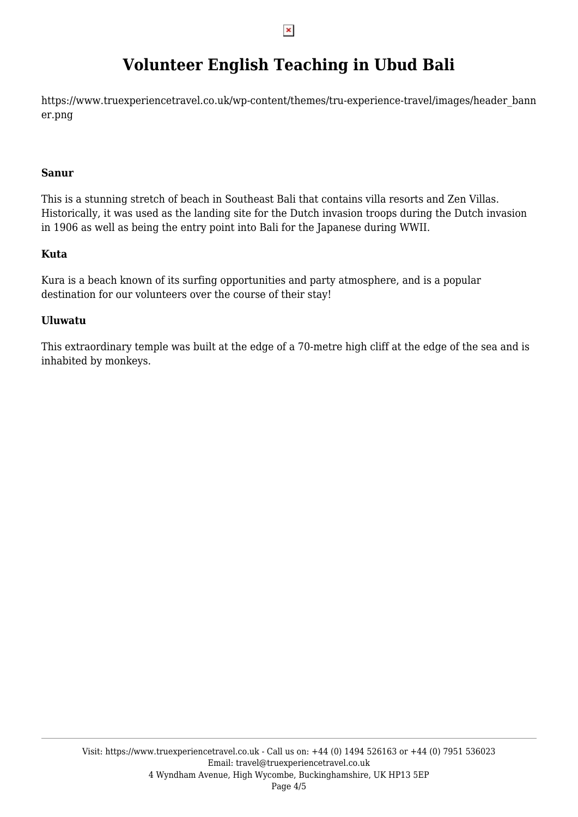# **Volunteer English Teaching in Ubud Bali**

https://www.truexperiencetravel.co.uk/wp-content/themes/tru-experience-travel/images/header\_bann er.png

#### **Sanur**

This is a stunning stretch of beach in Southeast Bali that contains villa resorts and Zen Villas. Historically, it was used as the landing site for the Dutch invasion troops during the Dutch invasion in 1906 as well as being the entry point into Bali for the Japanese during WWII.

#### **Kuta**

Kura is a beach known of its surfing opportunities and party atmosphere, and is a popular destination for our volunteers over the course of their stay!

#### **Uluwatu**

This extraordinary temple was built at the edge of a 70-metre high cliff at the edge of the sea and is inhabited by monkeys.